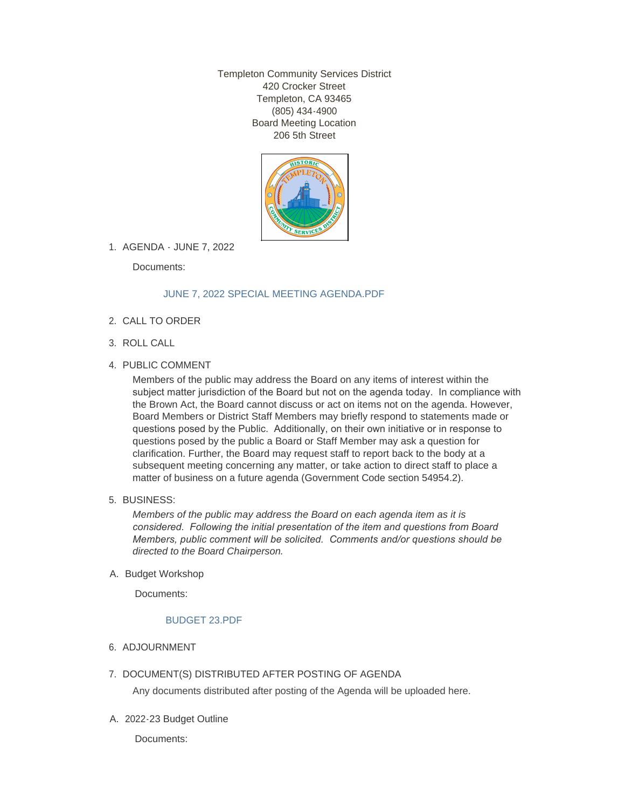Templeton Community Services District 420 Crocker Street Templeton, CA 93465 (805) 434-4900 Board Meeting Location 206 5th Street



AGENDA - JUNE 7, 2022 1.

Documents:

# [JUNE 7, 2022 SPECIAL MEETING AGENDA.PDF](http://templetoncsd.org/AgendaCenter/ViewFile/Item/4735?fileID=3324)

- 2. CALL TO ORDER
- ROLL CALL 3.
- 4. PUBLIC COMMENT

Members of the public may address the Board on any items of interest within the subject matter jurisdiction of the Board but not on the agenda today. In compliance with the Brown Act, the Board cannot discuss or act on items not on the agenda. However, Board Members or District Staff Members may briefly respond to statements made or questions posed by the Public. Additionally, on their own initiative or in response to questions posed by the public a Board or Staff Member may ask a question for clarification. Further, the Board may request staff to report back to the body at a subsequent meeting concerning any matter, or take action to direct staff to place a matter of business on a future agenda (Government Code section 54954.2).

BUSINESS: 5.

*Members of the public may address the Board on each agenda item as it is considered. Following the initial presentation of the item and questions from Board Members, public comment will be solicited. Comments and/or questions should be directed to the Board Chairperson.*

A. Budget Workshop

Documents:

# [BUDGET 23.PDF](http://templetoncsd.org/AgendaCenter/ViewFile/Item/4737?fileID=3326)

- 6. ADJOURNMENT
- 7. DOCUMENT(S) DISTRIBUTED AFTER POSTING OF AGENDA

Any documents distributed after posting of the Agenda will be uploaded here.

2022-23 Budget Outline A.

Documents: